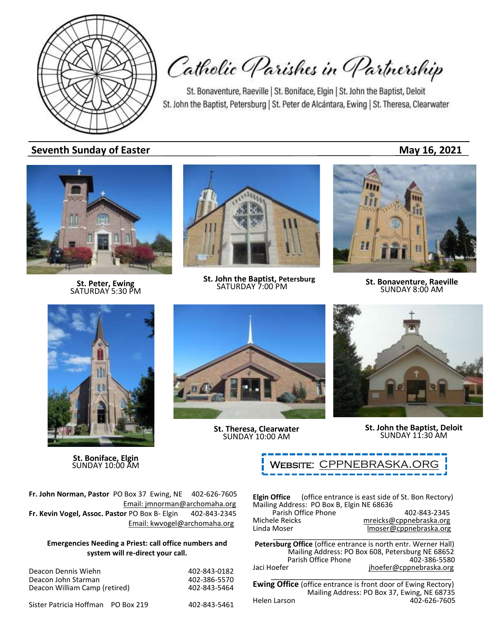

Catholic Parishes in Partnership

St. Bonaventure, Raeville | St. Boniface, Elgin | St. John the Baptist, Deloit St. John the Baptist, Petersburg | St. Peter de Alcántara, Ewing | St. Theresa, Clearwater

**Seventh Sunday of Easter May 16, 2021** 



**St. Peter, Ewing** SATURDAY 5:30 PM



**St. John the Baptist, Petersburg**<br>SATURDAY 7:00 PM



**SATURDAY 7:00 PM St. Bonaventure, Raeville**<br>SATURDAY 7:00 PM **SUNDAY 8:00 AM** 



**St. Boniface, Elgin**



**St. Theresa, Clearwater** SUNDAY 10:00 AM



**St. John the Baptist, Deloit** SUNDAY 11:30 AM



**Fr. John Norman, Pastor** PO Box 37 Ewing, NE 402-626-7605 Email: jmnorman@archomaha.org **Fr. Kevin Vogel, Assoc. Pastor** PO Box B- Elgin 402-843-2345 Email: [kwvogel@archomaha.org](mailto:kwvogel@archomaha.org)

### **Emergencies Needing a Priest: call office numbers and system will re-direct your call.**

| Deacon Dennis Wiehn                | 402-843-0182 |
|------------------------------------|--------------|
| Deacon John Starman                | 402-386-5570 |
| Deacon William Camp (retired)      | 402-843-5464 |
| Sister Patricia Hoffman PO Box 219 | 402-843-5461 |

**Elgin Office** (office entrance is east side of St. Bon Rectory) Mailing Address: PO Box B, Elgin NE 68636 Parish Office Phone<br>ele Reicks mreicks@cppnebraska.org

| Michele Reicks | mreicks@cppnebraska.org |
|----------------|-------------------------|
| Linda Moser    | Imoser@cppnebraska.org  |
|                |                         |

**Petersburg Office** (office entrance is north entr. Werner Hall) Mailing Address: PO Box 608, Petersburg NE 68652 Parish Office Phone Jaci Hoefer jhoefer@cppnebraska.org \_\_\_\_\_\_\_\_\_\_\_\_\_\_\_\_\_\_\_\_\_\_\_\_\_\_\_\_\_\_\_\_\_\_\_\_\_\_\_\_\_

**Ewing Office** (office entrance is front door of Ewing Rectory) Mailing Address: PO Box 37, Ewing, NE 68735<br>Helen Larson 402-626-7605 402-626-7605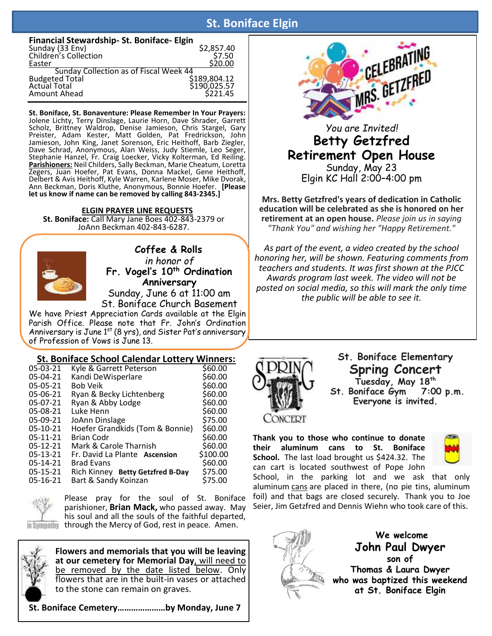# **St. Boniface Elgin**

| Financial Stewardship-St. Boniface-Elgin |                                          |
|------------------------------------------|------------------------------------------|
|                                          |                                          |
| Sunday (33 Env)<br>Children's Collection | \$2,857.40<br>\$7.50                     |
| Easter                                   | \$20.00                                  |
| Sunday Collection as of Fiscal Week 44   |                                          |
|                                          |                                          |
| Budgeted Total<br>Actual Total           |                                          |
| Amount Ahead                             | \$189,804.12<br>\$190,025.57<br>\$221.45 |
|                                          |                                          |

**St. Boniface, St. Bonaventure: Please Remember In Your Prayers:** Jolene Lichty, Terry Dinslage, Laurie Horn, Dave Shrader, Garrett Scholz, Brittney Waldrop, Denise Jamieson, Chris Stargel, Gary Preister, Adam Kester, Matt Golden, Pat Fredrickson, John Jamieson, John King, Janet Sorenson, Eric Heithoff, Barb Ziegler, Dave Schrad, Anonymous, Alan Weiss, Judy Stiemle, Leo Seger, Stephanie Hanzel, Fr. Craig Loecker, Vicky Kolterman, Ed Reiling. **Parishioners:** Neil Childers, Sally Beckman, Marie Cheatum, Loretta Zegers, Juan Hoefer, Pat Evans, Donna Mackel, Gene Heithoff, Delbert & Avis Heithoff, Kyle Warren, Karlene Moser, Mike Dvorak, Ann Beckman, Doris Kluthe, Anonymous, Bonnie Hoefer. **[Please let us know if name can be removed by calling 843-2345.]**

**ELGIN PRAYER LINE REQUESTS St. Boniface:** Call Mary Jane Boes 402-843-2379 or JoAnn Beckman 402-843-6287.



í

 **Coffee & Rolls** *in honor of* **Fr. Vogel's 10th Ordination Anniversary** Sunday, June 6 at 11:00 am St. Boniface Church Basement

We have Priest Appreciation Cards available at the Elain Parish Office. Please note that Fr. John's Ordination Anniversary is June 1<sup>st</sup> (8 yrs), and Sister Pat's anniversary of Profession of Vows is June 13.

### **St. Boniface School Calendar Lottery Winners:**

| 05-03-21   | Kyle & Garrett Peterson          | \$60.00  |
|------------|----------------------------------|----------|
| 05-04-21   | Kandi DeWisperlare               | \$60.00  |
| 05-05-21   | <b>Bob Veik</b>                  | \$60.00  |
| 05-06-21   | Ryan & Becky Lichtenberg         | \$60.00  |
| 05-07-21   | Ryan & Abby Lodge                | \$60.00  |
| 05-08-21   | Luke Henn                        | \$60.00  |
| 05-09-21   | JoAnn Dinslage                   | \$75.00  |
| $05-10-21$ | Hoefer Grandkids (Tom & Bonnie)  | \$60.00  |
| $05-11-21$ | <b>Brian Codr</b>                | \$60.00  |
| $05-12-21$ | Mark & Carole Tharnish           | \$60.00  |
| $05-13-21$ | Fr. David La Plante Ascension    | \$100.00 |
| 05-14-21   | <b>Brad Evans</b>                | \$60.00  |
| 05-15-21   | Rich Kinney Betty Getzfred B-Day | \$75.00  |
| 05-16-21   | Bart & Sandy Koinzan             | \$75.00  |
|            |                                  |          |



Please pray for the soul of St. Boniface parishioner, **Brian Mack,** who passed away. May his soul and all the souls of the faithful departed, In Sympathy through the Mercy of God, rest in peace. Amen.



**Flowers and memorials that you will be leaving at our cemetery for Memorial Day**, will need to be removed by the date listed below. Only flowers that are in the built-in vases or attached to the stone can remain on graves.

**St. Boniface Cemetery…………………by Monday, June 7**



## *You are Invited!* **Betty Getzfred Retirement Open House** Sunday, May 23 Elgin KC Hall 2:00–4:00 pm

**Mrs. Betty Getzfred's years of dedication in Catholic education will be celebrated as she is honored on her retirement at an open house.** *Please join us in saying "Thank You" and wishing her "Happy Retirement."*

*As part of the event, a video created by the school honoring her, will be shown. Featuring comments from teachers and students. It was first shown at the PJCC Awards program last week. The video will not be posted on social media, so this will mark the only time the public will be able to see it.*



**St. Boniface Elementary Spring Concert Tuesday, May 18th St. Boniface Gym 7:00 p.m. Everyone is invited.**

**Thank you to those who continue to donate their aluminum cans to St. Boniface School.** The last load brought us \$424.32. The can cart is located southwest of Pope John



School, in the parking lot and we ask that only aluminum cans are placed in there, (no pie tins, aluminum foil) and that bags are closed securely. Thank you to Joe Seier, Jim Getzfred and Dennis Wiehn who took care of this.



**We welcome John Paul Dwyer son of Thomas & Laura Dwyer who was baptized this weekend at St. Boniface Elgin**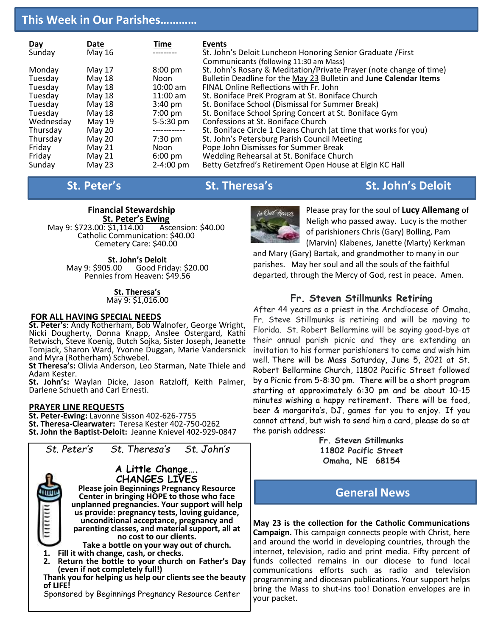# **This Week in Our Parishes…………**

| <b>Day</b> | Date     | <u>Time</u>           | Events                                                              |
|------------|----------|-----------------------|---------------------------------------------------------------------|
| Sunday     | May 16   |                       | St. John's Deloit Luncheon Honoring Senior Graduate / First         |
|            |          |                       | Communicants (following 11:30 am Mass)                              |
| Monday     | May 17   | $8:00$ pm             | St. John's Rosary & Meditation/Private Prayer (note change of time) |
| Tuesday    | May 18   | Noon                  | Bulletin Deadline for the May 23 Bulletin and June Calendar Items   |
| Tuesday    | May 18   | $10:00$ am            | FINAL Online Reflections with Fr. John                              |
| Tuesday    | May 18   | $11:00$ am            | St. Boniface PreK Program at St. Boniface Church                    |
| Tuesday    | May 18   | $3:40 \text{ pm}$     | St. Boniface School (Dismissal for Summer Break)                    |
| Tuesday    | May 18   | $7:00 \text{ pm}$     | St. Boniface School Spring Concert at St. Boniface Gym              |
| Wednesday  | May 19   | 5-5:30 pm             | Confessions at St. Boniface Church                                  |
| Thursday   | May 20   |                       | St. Boniface Circle 1 Cleans Church (at time that works for you)    |
| Thursday   | May 20   | $7:30$ pm             | St. John's Petersburg Parish Council Meeting                        |
| Friday     | May $21$ | Noon                  | Pope John Dismisses for Summer Break                                |
| Friday     | May 21   | $6:00 \text{ pm}$     | Wedding Rehearsal at St. Boniface Church                            |
| Sunday     | May 23   | $2 - 4:00 \text{ pm}$ | Betty Getzfred's Retirement Open House at Elgin KC Hall             |

# **St. Peter's St. Theresa's St. Theresa's** St. John's Deloit



May 9: \$723.00: \$1,114.00 Catholic Communication: \$40.00 Cemetery Care: \$40.00

> **St. John's Deloit**<br>May 9: \$905.00 Good Fric Good Friday: \$20.00 Pennies from Heaven: \$49.56

#### **St. Theresa's** May 9: \$1,016.00

#### **FOR ALL HAVING SPECIAL NEEDS**

**St. Peter's**: Andy Rotherham, Bob Walnofer, George Wright, Nicki Dougherty, Donna Knapp, Anslee Ostergard, Kathi Retwisch, Steve Koenig, Butch Sojka, Sister Joseph, Jeanette Tomjack, Sharon Ward, Yvonne Duggan, Marie Vandersnick and Myra (Rotherham) Schwebel.

**St Theresa's:** Olivia Anderson, Leo Starman, Nate Thiele and Adam Kester.

**St. John's:** Waylan Dicke, Jason Ratzloff, Keith Palmer, Darlene Schueth and Carl Ernesti.

### **PRAYER LINE REQUESTS**

**St. Peter-Ewing:** Lavonne Sisson 402-626-7755 **St. Theresa-Clearwater:** Teresa Kester 402-750-0262 **St. John the Baptist-Deloit:** Jeanne Knievel 402-929-0847





Please pray for the soul of **Lucy Allemang** of Neligh who passed away. Lucy is the mother of parishioners Chris (Gary) Bolling, Pam (Marvin) Klabenes, Janette (Marty) Kerkman

and Mary (Gary) Bartak, and grandmother to many in our parishes. May her soul and all the souls of the faithful departed, through the Mercy of God, rest in peace. Amen.

## **Fr. Steven Stillmunks Retiring**

After 44 years as a priest in the Archdiocese of Omaha, Fr. Steve Stillmunks is retiring and will be moving to Florida. St. Robert Bellarmine will be saying good-bye at their annual parish picnic and they are extending an invitation to his former parishioners to come and wish him well. There will be Mass Saturday, June 5, 2021 at St. Robert Bellarmine Church, 11802 Pacific Street followed by a Picnic from 5-8:30 pm. There will be a short program starting at approximately 6:30 pm and be about 10-15 minutes wishing a happy retirement. There will be food, beer & margarita's, DJ, games for you to enjoy. If you cannot attend, but wish to send him a card, please do so at the parish address:

**Fr. Steven Stillmunks 11802 Pacific Street Omaha, NE 68154**

# **General News**

**May 23 is the collection for the Catholic Communications Campaign.** This campaign connects people with Christ, here and around the world in developing countries, through the internet, television, radio and print media. Fifty percent of funds collected remains in our diocese to fund local communications efforts such as radio and television programming and diocesan publications. Your support helps bring the Mass to shut-ins too! Donation envelopes are in your packet.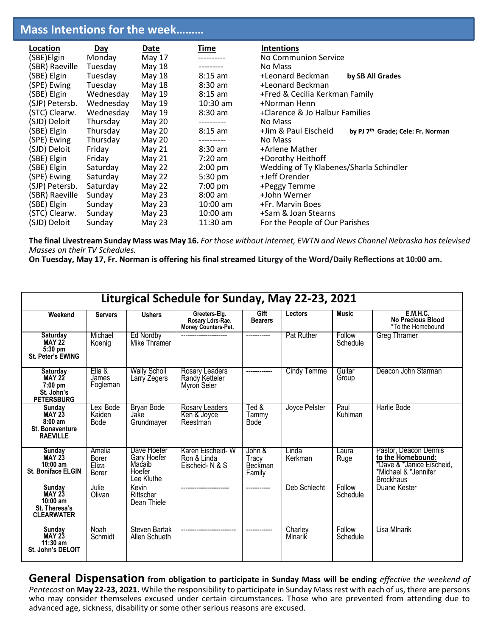# **Mass Intentions for the week………**

| Location       | Day       | Date          | Time              | <b>Intentions</b>                                                     |  |  |
|----------------|-----------|---------------|-------------------|-----------------------------------------------------------------------|--|--|
| (SBE)Elgin     | Monday    | May 17        |                   | No Communion Service                                                  |  |  |
| (SBR) Raeville | Tuesday   | May 18        |                   | No Mass                                                               |  |  |
| (SBE) Elgin    | Tuesday   | May 18        | $8:15$ am         | +Leonard Beckman<br>by SB All Grades                                  |  |  |
| (SPE) Ewing    | Tuesday   | <b>May 18</b> | $8:30$ am         | +Leonard Beckman                                                      |  |  |
| (SBE) Elgin    | Wednesday | May 19        | $8:15$ am         | +Fred & Cecilia Kerkman Family                                        |  |  |
| (SJP) Petersb. | Wednesday | May 19        | $10:30$ am        | +Norman Henn                                                          |  |  |
| (STC) Clearw.  | Wednesday | May 19        | $8:30$ am         | +Clarence & Jo Halbur Families                                        |  |  |
| (SJD) Deloit   | Thursday  | May 20        |                   | No Mass                                                               |  |  |
| (SBE) Elgin    | Thursday  | May 20        | $8:15$ am         | +Jim & Paul Eischeid<br>by PJ 7 <sup>th</sup> Grade; Cele: Fr. Norman |  |  |
| (SPE) Ewing    | Thursday  | May 20        | ----------        | No Mass                                                               |  |  |
| (SJD) Deloit   | Friday    | <b>May 21</b> | $8:30$ am         | +Arlene Mather                                                        |  |  |
| (SBE) Elgin    | Friday    | May 21        | $7:20$ am         | +Dorothy Heithoff                                                     |  |  |
| (SBE) Elgin    | Saturday  | May 22        | $2:00$ pm         | Wedding of Ty Klabenes/Sharla Schindler                               |  |  |
| (SPE) Ewing    | Saturday  | May 22        | $5:30 \text{ pm}$ | +Jeff Orender                                                         |  |  |
| (SJP) Petersb. | Saturday  | May 22        | $7:00 \text{ pm}$ | +Peggy Temme                                                          |  |  |
| (SBR) Raeville | Sunday    | May 23        | $8:00$ am         | +John Werner                                                          |  |  |
| (SBE) Elgin    | Sunday    | May $23$      | $10:00$ am        | +Fr. Marvin Boes                                                      |  |  |
| (STC) Clearw.  | Sunday    | May $23$      | $10:00$ am        | +Sam & Joan Stearns                                                   |  |  |
| (SJD) Deloit   | Sunday    | May 23        | $11:30$ am        | For the People of Our Parishes                                        |  |  |

**The final Livestream Sunday Mass was May 16.** *For those without internet, EWTN and News Channel Nebraska has televised Masses on their TV Schedules.* 

**On Tuesday, May 17, Fr. Norman is offering his final streamed Liturgy of the Word/Daily Reflections at 10:00 am.**

| Liturgical Schedule for Sunday, May 22-23, 2021                                   |                                   |                                                              |                                                          |                                             |                    |                    |                                                                                                                     |
|-----------------------------------------------------------------------------------|-----------------------------------|--------------------------------------------------------------|----------------------------------------------------------|---------------------------------------------|--------------------|--------------------|---------------------------------------------------------------------------------------------------------------------|
| Weekend                                                                           | <b>Servers</b>                    | <b>Ushers</b>                                                | Greeters-Elg.<br>Rosary Ldrs-Rae.<br>Money Counters-Pet. | Gift<br><b>Bearers</b>                      | Lectors            | <b>Music</b>       | <b>E.M.H.C.</b><br><b>No Precious Blood</b><br>*To the Homebound                                                    |
| Saturday<br><b>MAY 22</b><br>5:30 pm<br><b>St. Peter's EWING</b>                  | Michael<br>Koenig                 | Ed Nordby<br>Mike Thramer                                    |                                                          |                                             | <b>Pat Ruther</b>  | Follow<br>Schedule | <b>Greg Thramer</b>                                                                                                 |
| <b>Saturday</b><br><b>MAY 22</b><br>$7:00$ pm<br>St. John's<br><b>PETERSBURG</b>  | Ella &<br>James<br>Fogleman       | <b>Wally Scholl</b><br>Larrý Zegers                          | Rosary Leaders<br>Randy Ketteler<br>Myron Seier          |                                             | Cindy Temme        | Guitar<br>Group    | Deacon John Starman                                                                                                 |
| Sunday<br><b>MAY 23</b><br>$8:00$ am<br><b>St. Bonaventure</b><br><b>RAEVILLE</b> | Lexi Bode<br>Kaiden<br>Bode       | <b>Bryan Bode</b><br>Jake<br>Grundmayer                      | Rosary Leaders<br>Ken & Joyce<br>Reestman                | Ted $\&$<br>Tammy<br>Bode                   | Joyce Pelster      | Paul<br>Kuhlman    | Harlie Bode                                                                                                         |
| Sunday<br><b>MAY 23</b><br>$10:00$ am<br><b>St. Boniface ELGIN</b>                | Amelia<br>Borer<br>Eliza<br>Borer | Dave Hoefer<br>Gary Hoefer<br>Macaib<br>Hoefer<br>Lee Kluthe | Karen Eischeid-W<br>Ron & Linda<br>Eischeid-N & S        | John &<br>Tracy<br><b>Beckman</b><br>Family | Linda<br>Kerkman   | Laura<br>Ruge      | Pastor, Deacon Dennis<br>to the Homebound:<br>*Dave & *Janice Eischeid,<br>*Michael & *Jennifer<br><b>Brockhaus</b> |
| Sunday<br><b>MAY 23</b><br>$10:00$ am<br>St. Theresa's<br><b>CLEARWATER</b>       | Julie<br>Olivan                   | Kevin<br>Riffscher<br>Dean Thiele                            |                                                          | -----------                                 | Deb Schlecht       | Follow<br>Schedule | Duane Kester                                                                                                        |
| Sunday<br><b>MAY 23</b><br>$11:30$ am<br>St. John's DELOIT                        | Noah<br>Schmidt                   | Steven Bartak<br>Allen Schueth                               |                                                          |                                             | Charley<br>Mlnarik | Follow<br>Schedule | Lisa MInarik                                                                                                        |

**General Dispensation from obligation to participate in Sunday Mass will be ending** *effective the weekend of Pentecost* on **May 22-23, 2021.** While the responsibility to participate in Sunday Mass rest with each of us, there are persons who may consider themselves excused under certain circumstances. Those who are prevented from attending due to advanced age, sickness, disability or some other serious reasons are excused.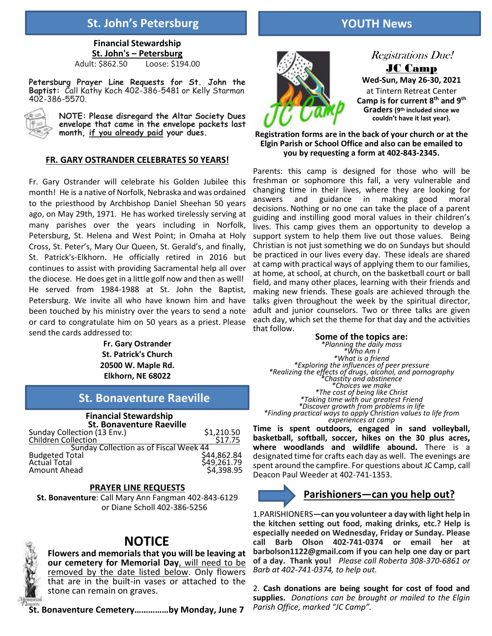# **St. John's Petersburg YOUTH News**

**Financial Stewardship St. John's – Petersburg**  Adult: \$862.50 Loose: \$194.00

**Petersburg Prayer Line Requests for St. John the Baptist:** Call Kathy Koch 402-386-5481 or Kelly Starman 402-386-5570.



**NOTE: Please disregard the Altar Society Dues envelope that came in the envelope packets last month, if you already paid your dues.**

### **FR. GARY OSTRANDER CELEBRATES 50 YEARS!**

Fr. Gary Ostrander will celebrate his Golden Jubilee this month! He is a native of Norfolk, Nebraska and was ordained to the priesthood by Archbishop Daniel Sheehan 50 years ago, on May 29th, 1971. He has worked tirelessly serving at many parishes over the years including in Norfolk, Petersburg, St. Helena and West Point; in Omaha at Holy Cross, St. Peter's, Mary Our Queen, St. Gerald's, and finally, St. Patrick's-Elkhorn. He officially retired in 2016 but continues to assist with providing Sacramental help all over the diocese. He does get in a little golf now and then as well! He served from 1984-1988 at St. John the Baptist, Petersburg. We invite all who have known him and have been touched by his ministry over the years to send a note or card to congratulate him on 50 years as a priest. Please send the cards addressed to:

**Fr. Gary Ostrander St. Patrick's Church 20500 W. Maple Rd. Elkhorn, NE 68022**

# **St. Bonaventure Raeville**

#### **Financial Stewardship St. Bonaventure Raeville**

| Sunday Collection (13 Env.)            | \$1,210.50  |
|----------------------------------------|-------------|
| Children Collection                    | \$17.75     |
| Sunday Collection as of Fiscal Week 44 |             |
| <b>Budgeted Total</b>                  | \$44,862.84 |
| <b>Actual Total</b>                    | \$49,261.79 |
| Amount Ahead                           | \$4,398.95  |
|                                        |             |

#### **PRAYER LINE REQUESTS**

**St. Bonaventure**: Call Mary Ann Fangman 402-843-6129 or Diane Scholl 402-386-5256

# **NOTICE**

**Flowers and memorials that you will be leaving at our cemetery for Memorial Day**, will need to be removed by the date listed below. Only flowers that are in the built-in vases or attached to the stone can remain on graves.

**St. Bonaventure Cemetery……………by Monday, June 7**



Registrations Due! JC Camp

**Wed-Sun, May 26-30, 2021** at Tintern Retreat Center **Camp is for current 8th and 9th Graders (9 th included since we couldn't have it last year).**

**Registration forms are in the back of your church or at the Elgin Parish or School Office and also can be emailed to you by requesting a form at 402-843-2345.**

Parents: this camp is designed for those who will be freshman or sophomore this fall, a very vulnerable and changing time in their lives, where they are looking for answers and guidance in making good moral decisions. Nothing or no one can take the place of a parent guiding and instilling good moral values in their children's lives. This camp gives them an opportunity to develop a support system to help them live out those values. Being Christian is not just something we do on Sundays but should be practiced in our lives every day. These ideals are shared at camp with practical ways of applying them to our families, at home, at school, at church, on the basketball court or ball field, and many other places, learning with their friends and making new friends. These goals are achieved through the talks given throughout the week by the spiritual director, adult and junior counselors. Two or three talks are given each day, which set the theme for that day and the activities that follow.

**Some of the topics are:** *\*Planning the daily mass \*Who Am I \*What is a friend \*Exploring the influences of peer pressure \*Realizing the effects of drugs, alcohol, and pornography \*Chastity and abstinence \*Choices we make \*The cost of being like Christ \*Taking time with our greatest Friend \*Discover growth from problems in life \*Finding practical ways to apply Christian values to life from experiences at camp*

**Time is spent outdoors, engaged in sand volleyball, basketball, softball, soccer, hikes on the 30 plus acres, where woodlands and wildlife abound.** There is a designated time for crafts each day as well. The evenings are spent around the campfire. For questions about JC Camp, call Deacon Paul Weeder at 402-741-1353.

### **Parishioners—can you help out?**

1.PARISHIONERS**—can you volunteer a day with light help in the kitchen setting out food, making drinks, etc.? Help is especially needed on Wednesday, Friday or Sunday. Please call Barb Olson 402-741-0374 or email her at barbolson1122@gmail.com if you can help one day or part of a day. Thank you!** *Please call Roberta 308-370-6861 or Barb at 402-741-0374, to help out.*

2. **Cash donations are being sought for cost of food and supplies.** *Donations can be brought or mailed to the Elgin Parish Office, marked "JC Camp".*